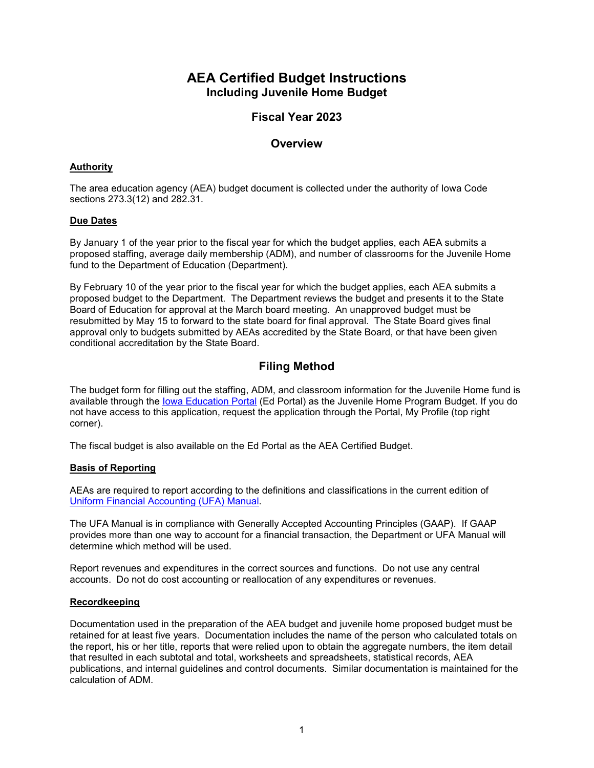# **AEA Certified Budget Instructions Including Juvenile Home Budget**

# **Fiscal Year 2023**

## **Overview**

### **Authority**

The area education agency (AEA) budget document is collected under the authority of Iowa Code sections 273.3(12) and 282.31.

### **Due Dates**

By January 1 of the year prior to the fiscal year for which the budget applies, each AEA submits a proposed staffing, average daily membership (ADM), and number of classrooms for the Juvenile Home fund to the Department of Education (Department).

By February 10 of the year prior to the fiscal year for which the budget applies, each AEA submits a proposed budget to the Department. The Department reviews the budget and presents it to the State Board of Education for approval at the March board meeting. An unapproved budget must be resubmitted by May 15 to forward to the state board for final approval. The State Board gives final approval only to budgets submitted by AEAs accredited by the State Board, or that have been given conditional accreditation by the State Board.

# **Filing Method**

The budget form for filling out the staffing, ADM, and classroom information for the Juvenile Home fund is available through the [Iowa Education Portal](https://portal.ed.iowa.gov/iowalandingpage/Landing.aspx) (Ed Portal) as the Juvenile Home Program Budget. If you do not have access to this application, request the application through the Portal, My Profile (top right corner).

The fiscal budget is also available on the Ed Portal as the AEA Certified Budget.

### **Basis of Reporting**

AEAs are required to report according to the definitions and classifications in the current edition of [Uniform Financial Accounting](https://www.educateiowa.gov/pk-12/school-business-finance/accounting-reporting/uniform-financial-accounting) (UFA) Manual.

The UFA Manual is in compliance with Generally Accepted Accounting Principles (GAAP).If GAAP provides more than one way to account for a financial transaction, the Department or UFA Manual will determine which method will be used.

Report revenues and expenditures in the correct sources and functions. Do not use any central accounts. Do not do cost accounting or reallocation of any expenditures or revenues.

#### **Recordkeeping**

Documentation used in the preparation of the AEA budget and juvenile home proposed budget must be retained for at least five years. Documentation includes the name of the person who calculated totals on the report, his or her title, reports that were relied upon to obtain the aggregate numbers, the item detail that resulted in each subtotal and total, worksheets and spreadsheets, statistical records, AEA publications, and internal guidelines and control documents. Similar documentation is maintained for the calculation of ADM.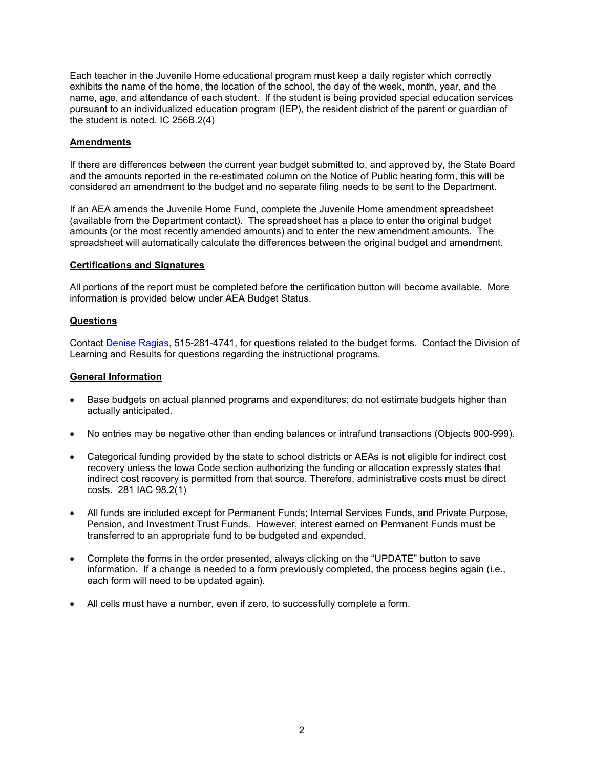Each teacher in the Juvenile Home educational program must keep a daily register which correctly exhibits the name of the home, the location of the school, the day of the week, month, year, and the name, age, and attendance of each student. If the student is being provided special education services pursuant to an individualized education program (IEP), the resident district of the parent or guardian of the student is noted. IC 256B.2(4)

### **Amendments**

If there are differences between the current year budget submitted to, and approved by, the State Board and the amounts reported in the re-estimated column on the Notice of Public hearing form, this will be considered an amendment to the budget and no separate filing needs to be sent to the Department.

If an AEA amends the Juvenile Home Fund, complete the Juvenile Home amendment spreadsheet (available from the Department contact). The spreadsheet has a place to enter the original budget amounts (or the most recently amended amounts) and to enter the new amendment amounts. The spreadsheet will automatically calculate the differences between the original budget and amendment.

#### **Certifications and Signatures**

All portions of the report must be completed before the certification button will become available. More information is provided below under AEA Budget Status.

#### **Questions**

Contact [Denise Ragias,](mailto:denise.ragias@iowa.gov) 515-281-4741, for questions related to the budget forms. Contact the Division of Learning and Results for questions regarding the instructional programs.

#### **General Information**

- Base budgets on actual planned programs and expenditures; do not estimate budgets higher than actually anticipated.
- No entries may be negative other than ending balances or intrafund transactions (Objects 900-999).
- Categorical funding provided by the state to school districts or AEAs is not eligible for indirect cost recovery unless the Iowa Code section authorizing the funding or allocation expressly states that indirect cost recovery is permitted from that source. Therefore, administrative costs must be direct costs. 281 IAC 98.2(1)
- All funds are included except for Permanent Funds; Internal Services Funds, and Private Purpose, Pension, and Investment Trust Funds. However, interest earned on Permanent Funds must be transferred to an appropriate fund to be budgeted and expended.
- Complete the forms in the order presented, always clicking on the "UPDATE" button to save information. If a change is needed to a form previously completed, the process begins again (i.e., each form will need to be updated again).
- All cells must have a number, even if zero, to successfully complete a form.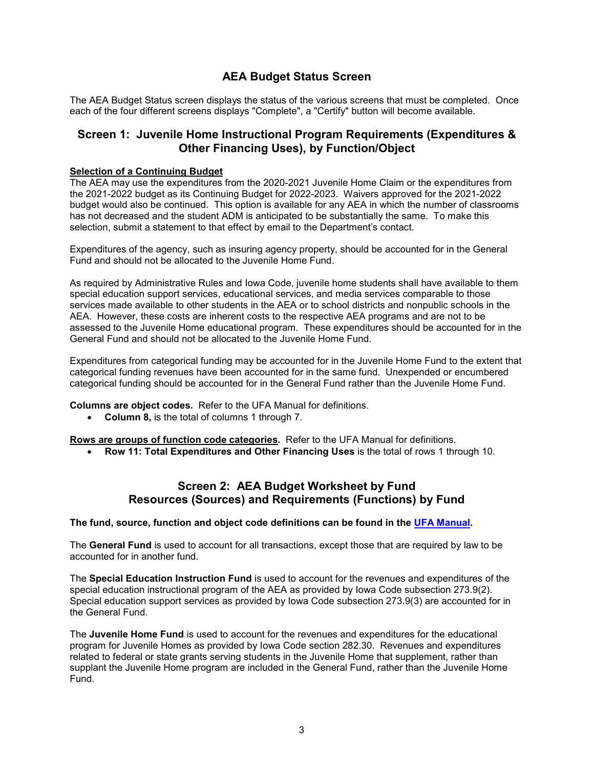# **AEA Budget Status Screen**

The AEA Budget Status screen displays the status of the various screens that must be completed. Once each of the four different screens displays "Complete", a "Certify" button will become available.

## **Screen 1: Juvenile Home Instructional Program Requirements (Expenditures & Other Financing Uses), by Function/Object**

### **Selection of a Continuing Budget**

The AEA may use the expenditures from the 2020-2021 Juvenile Home Claim or the expenditures from the 2021-2022 budget as its Continuing Budget for 2022-2023. Waivers approved for the 2021-2022 budget would also be continued. This option is available for any AEA in which the number of classrooms has not decreased and the student ADM is anticipated to be substantially the same. To make this selection, submit a statement to that effect by email to the Department's contact.

Expenditures of the agency, such as insuring agency property, should be accounted for in the General Fund and should not be allocated to the Juvenile Home Fund.

As required by Administrative Rules and Iowa Code, juvenile home students shall have available to them special education support services, educational services, and media services comparable to those services made available to other students in the AEA or to school districts and nonpublic schools in the AEA. However, these costs are inherent costs to the respective AEA programs and are not to be assessed to the Juvenile Home educational program. These expenditures should be accounted for in the General Fund and should not be allocated to the Juvenile Home Fund.

Expenditures from categorical funding may be accounted for in the Juvenile Home Fund to the extent that categorical funding revenues have been accounted for in the same fund. Unexpended or encumbered categorical funding should be accounted for in the General Fund rather than the Juvenile Home Fund.

**Columns are object codes.** Refer to the UFA Manual for definitions.

• **Column 8,** is the total of columns 1 through 7.

**Rows are groups of function code categories.** Refer to the UFA Manual for definitions.

• **Row 11: Total Expenditures and Other Financing Uses** is the total of rows 1 through 10.

## **Screen 2: AEA Budget Worksheet by Fund Resources (Sources) and Requirements (Functions) by Fund**

#### **The fund, source, function and object code definitions can be found in the UFA [Manual.](https://www.educateiowa.gov/pk-12/school-business-finance/accounting-reporting/uniform-financial-accounting)**

The **General Fund** is used to account for all transactions, except those that are required by law to be accounted for in another fund.

The **Special Education Instruction Fund** is used to account for the revenues and expenditures of the special education instructional program of the AEA as provided by Iowa Code subsection 273.9(2). Special education support services as provided by Iowa Code subsection 273.9(3) are accounted for in the General Fund.

The **Juvenile Home Fund** is used to account for the revenues and expenditures for the educational program for Juvenile Homes as provided by Iowa Code section 282.30. Revenues and expenditures related to federal or state grants serving students in the Juvenile Home that supplement, rather than supplant the Juvenile Home program are included in the General Fund, rather than the Juvenile Home Fund.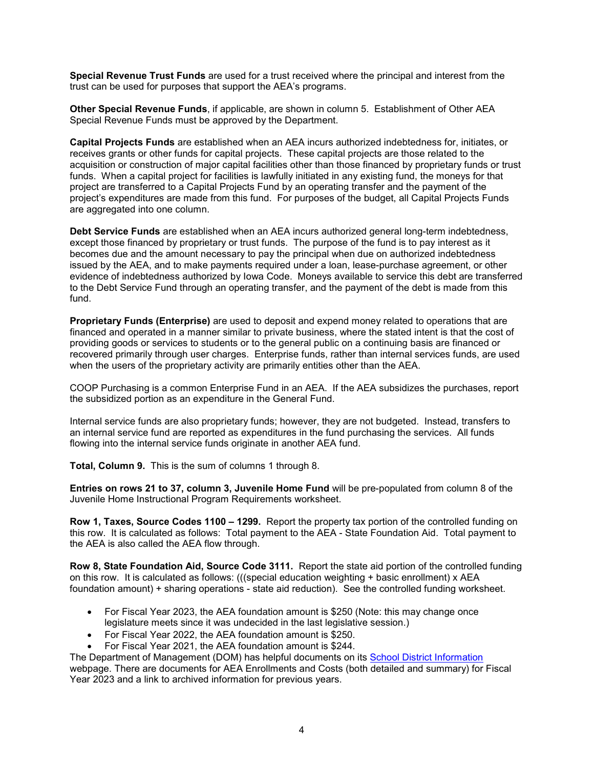**Special Revenue Trust Funds** are used for a trust received where the principal and interest from the trust can be used for purposes that support the AEA's programs.

**Other Special Revenue Funds**, if applicable, are shown in column 5. Establishment of Other AEA Special Revenue Funds must be approved by the Department.

**Capital Projects Funds** are established when an AEA incurs authorized indebtedness for, initiates, or receives grants or other funds for capital projects. These capital projects are those related to the acquisition or construction of major capital facilities other than those financed by proprietary funds or trust funds. When a capital project for facilities is lawfully initiated in any existing fund, the moneys for that project are transferred to a Capital Projects Fund by an operating transfer and the payment of the project's expenditures are made from this fund. For purposes of the budget, all Capital Projects Funds are aggregated into one column.

**Debt Service Funds** are established when an AEA incurs authorized general long-term indebtedness, except those financed by proprietary or trust funds. The purpose of the fund is to pay interest as it becomes due and the amount necessary to pay the principal when due on authorized indebtedness issued by the AEA, and to make payments required under a loan, lease-purchase agreement, or other evidence of indebtedness authorized by Iowa Code. Moneys available to service this debt are transferred to the Debt Service Fund through an operating transfer, and the payment of the debt is made from this fund.

**Proprietary Funds (Enterprise)** are used to deposit and expend money related to operations that are financed and operated in a manner similar to private business, where the stated intent is that the cost of providing goods or services to students or to the general public on a continuing basis are financed or recovered primarily through user charges. Enterprise funds, rather than internal services funds, are used when the users of the proprietary activity are primarily entities other than the AEA.

COOP Purchasing is a common Enterprise Fund in an AEA. If the AEA subsidizes the purchases, report the subsidized portion as an expenditure in the General Fund.

Internal service funds are also proprietary funds; however, they are not budgeted. Instead, transfers to an internal service fund are reported as expenditures in the fund purchasing the services. All funds flowing into the internal service funds originate in another AEA fund.

**Total, Column 9.** This is the sum of columns 1 through 8.

**Entries on rows 21 to 37, column 3, Juvenile Home Fund** will be pre-populated from column 8 of the Juvenile Home Instructional Program Requirements worksheet.

**Row 1, Taxes, Source Codes 1100 – 1299.** Report the property tax portion of the controlled funding on this row. It is calculated as follows: Total payment to the AEA - State Foundation Aid. Total payment to the AEA is also called the AEA flow through.

**Row 8, State Foundation Aid, Source Code 3111.** Report the state aid portion of the controlled funding on this row. It is calculated as follows: (((special education weighting + basic enrollment) x AEA foundation amount) + sharing operations - state aid reduction). See the controlled funding worksheet.

- For Fiscal Year 2023, the AEA foundation amount is \$250 (Note: this may change once legislature meets since it was undecided in the last legislative session.)
- For Fiscal Year 2022, the AEA foundation amount is \$250.
- For Fiscal Year 2021, the AEA foundation amount is \$244.

The Department of Management (DOM) has helpful documents on its [School District Information](http://www.dom.state.ia.us/local/schools/index.html) webpage. There are documents for AEA Enrollments and Costs (both detailed and summary) for Fiscal Year 2023 and a link to archived information for previous years.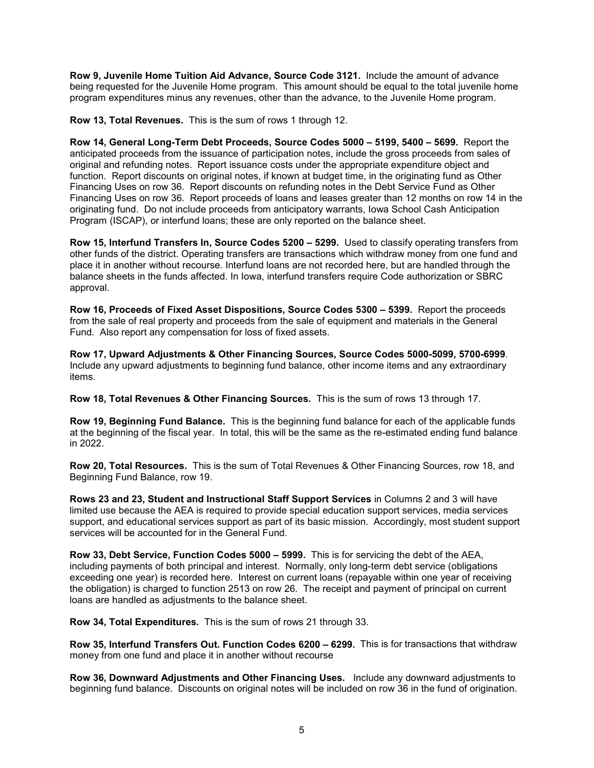**Row 9, Juvenile Home Tuition Aid Advance, Source Code 3121.** Include the amount of advance being requested for the Juvenile Home program. This amount should be equal to the total juvenile home program expenditures minus any revenues, other than the advance, to the Juvenile Home program.

**Row 13, Total Revenues.** This is the sum of rows 1 through 12.

**Row 14, General Long-Term Debt Proceeds, Source Codes 5000 – 5199, 5400 – 5699.** Report the anticipated proceeds from the issuance of participation notes, include the gross proceeds from sales of original and refunding notes. Report issuance costs under the appropriate expenditure object and function. Report discounts on original notes, if known at budget time, in the originating fund as Other Financing Uses on row 36. Report discounts on refunding notes in the Debt Service Fund as Other Financing Uses on row 36. Report proceeds of loans and leases greater than 12 months on row 14 in the originating fund. Do not include proceeds from anticipatory warrants, Iowa School Cash Anticipation Program (ISCAP), or interfund loans; these are only reported on the balance sheet.

**Row 15, Interfund Transfers In, Source Codes 5200 – 5299.** Used to classify operating transfers from other funds of the district. Operating transfers are transactions which withdraw money from one fund and place it in another without recourse. Interfund loans are not recorded here, but are handled through the balance sheets in the funds affected. In Iowa, interfund transfers require Code authorization or SBRC approval.

**Row 16, Proceeds of Fixed Asset Dispositions, Source Codes 5300 – 5399.** Report the proceeds from the sale of real property and proceeds from the sale of equipment and materials in the General Fund. Also report any compensation for loss of fixed assets.

**Row 17, Upward Adjustments & Other Financing Sources, Source Codes 5000-5099, 5700-6999**. Include any upward adjustments to beginning fund balance, other income items and any extraordinary items.

**Row 18, Total Revenues & Other Financing Sources.** This is the sum of rows 13 through 17.

**Row 19, Beginning Fund Balance.** This is the beginning fund balance for each of the applicable funds at the beginning of the fiscal year. In total, this will be the same as the re-estimated ending fund balance in 2022.

**Row 20, Total Resources.** This is the sum of Total Revenues & Other Financing Sources, row 18, and Beginning Fund Balance, row 19.

**Rows 23 and 23, Student and Instructional Staff Support Services** in Columns 2 and 3 will have limited use because the AEA is required to provide special education support services, media services support, and educational services support as part of its basic mission. Accordingly, most student support services will be accounted for in the General Fund.

**Row 33, Debt Service, Function Codes 5000 – 5999.** This is for servicing the debt of the AEA, including payments of both principal and interest. Normally, only long-term debt service (obligations exceeding one year) is recorded here. Interest on current loans (repayable within one year of receiving the obligation) is charged to function 2513 on row 26. The receipt and payment of principal on current loans are handled as adjustments to the balance sheet.

**Row 34, Total Expenditures.** This is the sum of rows 21 through 33.

**Row 35, Interfund Transfers Out. Function Codes 6200 – 6299.** This is for transactions that withdraw money from one fund and place it in another without recourse

**Row 36, Downward Adjustments and Other Financing Uses.** Include any downward adjustments to beginning fund balance. Discounts on original notes will be included on row 36 in the fund of origination.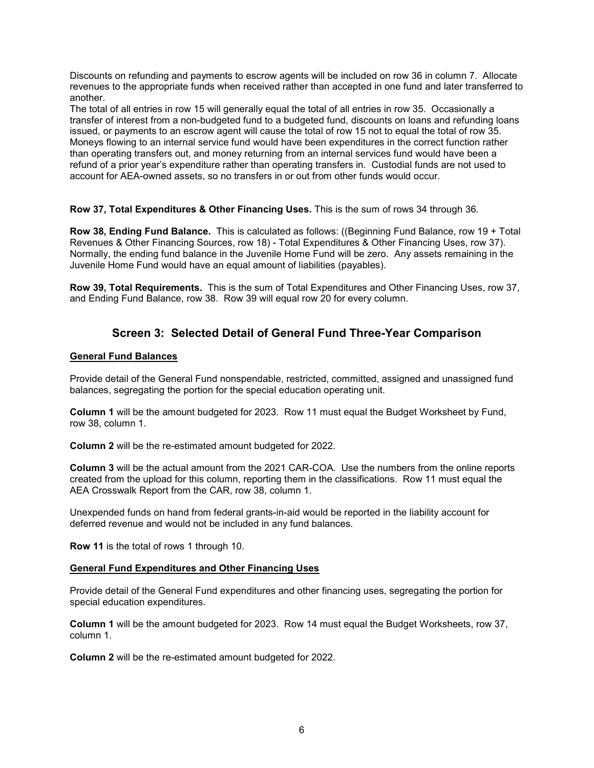Discounts on refunding and payments to escrow agents will be included on row 36 in column 7. Allocate revenues to the appropriate funds when received rather than accepted in one fund and later transferred to another.

The total of all entries in row 15 will generally equal the total of all entries in row 35. Occasionally a transfer of interest from a non-budgeted fund to a budgeted fund, discounts on loans and refunding loans issued, or payments to an escrow agent will cause the total of row 15 not to equal the total of row 35. Moneys flowing to an internal service fund would have been expenditures in the correct function rather than operating transfers out, and money returning from an internal services fund would have been a refund of a prior year's expenditure rather than operating transfers in. Custodial funds are not used to account for AEA-owned assets, so no transfers in or out from other funds would occur.

**Row 37, Total Expenditures & Other Financing Uses.** This is the sum of rows 34 through 36.

**Row 38, Ending Fund Balance.** This is calculated as follows: ((Beginning Fund Balance, row 19 + Total Revenues & Other Financing Sources, row 18) - Total Expenditures & Other Financing Uses, row 37). Normally, the ending fund balance in the Juvenile Home Fund will be zero. Any assets remaining in the Juvenile Home Fund would have an equal amount of liabilities (payables).

**Row 39, Total Requirements.** This is the sum of Total Expenditures and Other Financing Uses, row 37, and Ending Fund Balance, row 38. Row 39 will equal row 20 for every column.

# **Screen 3: Selected Detail of General Fund Three-Year Comparison**

### **General Fund Balances**

Provide detail of the General Fund nonspendable, restricted, committed, assigned and unassigned fund balances, segregating the portion for the special education operating unit.

**Column 1** will be the amount budgeted for 2023. Row 11 must equal the Budget Worksheet by Fund, row 38, column 1.

**Column 2** will be the re-estimated amount budgeted for 2022.

**Column 3** will be the actual amount from the 2021 CAR-COA. Use the numbers from the online reports created from the upload for this column, reporting them in the classifications. Row 11 must equal the AEA Crosswalk Report from the CAR, row 38, column 1.

Unexpended funds on hand from federal grants-in-aid would be reported in the liability account for deferred revenue and would not be included in any fund balances.

**Row 11** is the total of rows 1 through 10.

#### **General Fund Expenditures and Other Financing Uses**

Provide detail of the General Fund expenditures and other financing uses, segregating the portion for special education expenditures.

**Column 1** will be the amount budgeted for 2023. Row 14 must equal the Budget Worksheets, row 37, column 1.

**Column 2** will be the re-estimated amount budgeted for 2022.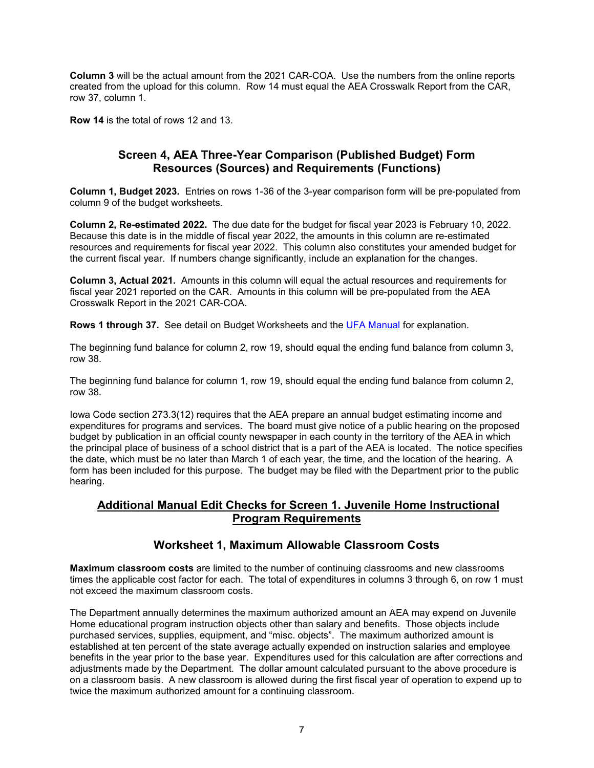**Column 3** will be the actual amount from the 2021 CAR-COA. Use the numbers from the online reports created from the upload for this column. Row 14 must equal the AEA Crosswalk Report from the CAR, row 37, column 1.

**Row 14** is the total of rows 12 and 13.

# **Screen 4, AEA Three-Year Comparison (Published Budget) Form Resources (Sources) and Requirements (Functions)**

**Column 1, Budget 2023.** Entries on rows 1-36 of the 3-year comparison form will be pre-populated from column 9 of the budget worksheets.

**Column 2, Re-estimated 2022.** The due date for the budget for fiscal year 2023 is February 10, 2022. Because this date is in the middle of fiscal year 2022, the amounts in this column are re-estimated resources and requirements for fiscal year 2022. This column also constitutes your amended budget for the current fiscal year. If numbers change significantly, include an explanation for the changes.

**Column 3, Actual 2021.** Amounts in this column will equal the actual resources and requirements for fiscal year 2021 reported on the CAR. Amounts in this column will be pre-populated from the AEA Crosswalk Report in the 2021 CAR-COA.

**Rows 1 through 37.** See detail on Budget Worksheets and the [UFA Manual](https://www.educateiowa.gov/pk-12/school-business-finance/accounting-reporting/uniform-financial-accounting) for explanation.

The beginning fund balance for column 2, row 19, should equal the ending fund balance from column 3, row 38.

The beginning fund balance for column 1, row 19, should equal the ending fund balance from column 2, row 38.

Iowa Code section 273.3(12) requires that the AEA prepare an annual budget estimating income and expenditures for programs and services. The board must give notice of a public hearing on the proposed budget by publication in an official county newspaper in each county in the territory of the AEA in which the principal place of business of a school district that is a part of the AEA is located. The notice specifies the date, which must be no later than March 1 of each year, the time, and the location of the hearing. A form has been included for this purpose. The budget may be filed with the Department prior to the public hearing.

## **Additional Manual Edit Checks for Screen 1. Juvenile Home Instructional Program Requirements**

## **Worksheet 1, Maximum Allowable Classroom Costs**

**Maximum classroom costs** are limited to the number of continuing classrooms and new classrooms times the applicable cost factor for each. The total of expenditures in columns 3 through 6, on row 1 must not exceed the maximum classroom costs.

The Department annually determines the maximum authorized amount an AEA may expend on Juvenile Home educational program instruction objects other than salary and benefits. Those objects include purchased services, supplies, equipment, and "misc. objects". The maximum authorized amount is established at ten percent of the state average actually expended on instruction salaries and employee benefits in the year prior to the base year. Expenditures used for this calculation are after corrections and adjustments made by the Department. The dollar amount calculated pursuant to the above procedure is on a classroom basis. A new classroom is allowed during the first fiscal year of operation to expend up to twice the maximum authorized amount for a continuing classroom.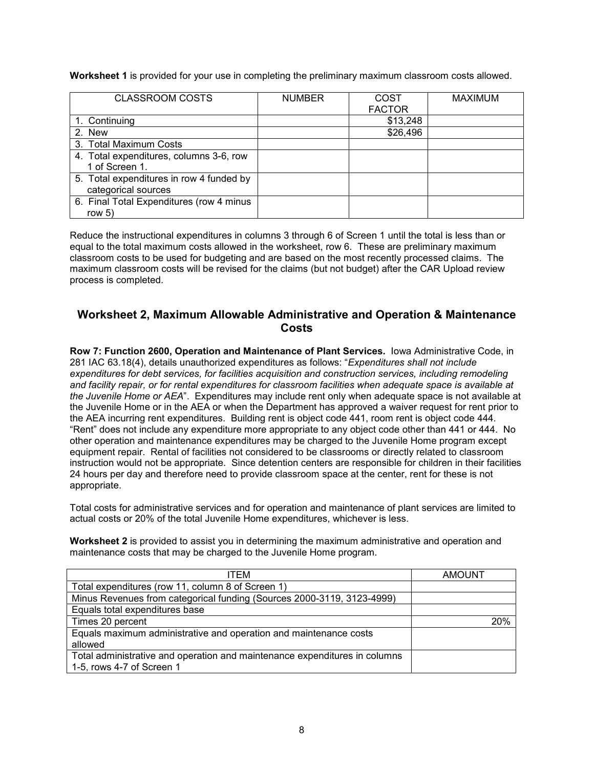**Worksheet 1** is provided for your use in completing the preliminary maximum classroom costs allowed.

| <b>CLASSROOM COSTS</b>                   | <b>NUMBER</b> | COST          | <b>MAXIMUM</b> |
|------------------------------------------|---------------|---------------|----------------|
|                                          |               | <b>FACTOR</b> |                |
| 1. Continuing                            |               | \$13,248      |                |
| 2. New                                   |               | \$26,496      |                |
| 3. Total Maximum Costs                   |               |               |                |
| 4. Total expenditures, columns 3-6, row  |               |               |                |
| 1 of Screen 1.                           |               |               |                |
| 5. Total expenditures in row 4 funded by |               |               |                |
| categorical sources                      |               |               |                |
| 6. Final Total Expenditures (row 4 minus |               |               |                |
| row $5)$                                 |               |               |                |

Reduce the instructional expenditures in columns 3 through 6 of Screen 1 until the total is less than or equal to the total maximum costs allowed in the worksheet, row 6. These are preliminary maximum classroom costs to be used for budgeting and are based on the most recently processed claims. The maximum classroom costs will be revised for the claims (but not budget) after the CAR Upload review process is completed.

## **Worksheet 2, Maximum Allowable Administrative and Operation & Maintenance Costs**

**Row 7: Function 2600, Operation and Maintenance of Plant Services.** Iowa Administrative Code, in 281 IAC 63.18(4), details unauthorized expenditures as follows: "*Expenditures shall not include expenditures for debt services, for facilities acquisition and construction services, including remodeling and facility repair, or for rental expenditures for classroom facilities when adequate space is available at the Juvenile Home or AEA*". Expenditures may include rent only when adequate space is not available at the Juvenile Home or in the AEA or when the Department has approved a waiver request for rent prior to the AEA incurring rent expenditures. Building rent is object code 441, room rent is object code 444. "Rent" does not include any expenditure more appropriate to any object code other than 441 or 444. No other operation and maintenance expenditures may be charged to the Juvenile Home program except equipment repair. Rental of facilities not considered to be classrooms or directly related to classroom instruction would not be appropriate. Since detention centers are responsible for children in their facilities 24 hours per day and therefore need to provide classroom space at the center, rent for these is not appropriate.

Total costs for administrative services and for operation and maintenance of plant services are limited to actual costs or 20% of the total Juvenile Home expenditures, whichever is less.

**Worksheet 2** is provided to assist you in determining the maximum administrative and operation and maintenance costs that may be charged to the Juvenile Home program.

| ITEM                                                                       | AMOUNT |
|----------------------------------------------------------------------------|--------|
| Total expenditures (row 11, column 8 of Screen 1)                          |        |
| Minus Revenues from categorical funding (Sources 2000-3119, 3123-4999)     |        |
| Equals total expenditures base                                             |        |
| Times 20 percent                                                           | 20%    |
| Equals maximum administrative and operation and maintenance costs          |        |
| allowed                                                                    |        |
| Total administrative and operation and maintenance expenditures in columns |        |
| 1-5, rows 4-7 of Screen 1                                                  |        |